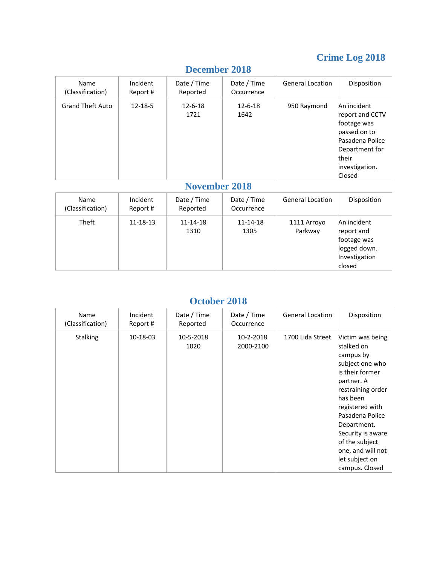## **Crime Log 2018**

| Name<br>(Classification) | Incident<br>Report # | Date / Time<br>Reported | Date / Time<br>Occurrence | <b>General Location</b> | Disposition                                                                                                                             |
|--------------------------|----------------------|-------------------------|---------------------------|-------------------------|-----------------------------------------------------------------------------------------------------------------------------------------|
| <b>Grand Theft Auto</b>  | $12 - 18 - 5$        | $12 - 6 - 18$<br>1721   | $12 - 6 - 18$<br>1642     | 950 Raymond             | An incident<br>report and CCTV<br>footage was<br>passed on to<br>Pasadena Police<br>Department for<br>their<br>investigation.<br>Closed |

#### **December 2018**

### **November 2018**

| Name<br>(Classification) | Incident<br>Report # | Date / Time<br>Reported | Date / Time<br>Occurrence | <b>General Location</b> | Disposition                                                                         |
|--------------------------|----------------------|-------------------------|---------------------------|-------------------------|-------------------------------------------------------------------------------------|
| Theft                    | 11-18-13             | 11-14-18<br>1310        | 11-14-18<br>1305          | 1111 Arroyo<br>Parkway  | An incident<br>report and<br>footage was<br>logged down.<br>Investigation<br>closed |

#### **October 2018**

| Name<br>(Classification) | Incident<br>Report # | Date / Time<br>Reported | Date / Time<br>Occurrence | <b>General Location</b> | Disposition                                                                                                                                                                                                                                                                           |
|--------------------------|----------------------|-------------------------|---------------------------|-------------------------|---------------------------------------------------------------------------------------------------------------------------------------------------------------------------------------------------------------------------------------------------------------------------------------|
| <b>Stalking</b>          | 10-18-03             | 10-5-2018<br>1020       | 10-2-2018<br>2000-2100    | 1700 Lida Street        | Victim was being<br>stalked on<br>campus by<br>subject one who<br>is their former<br>partner. A<br>restraining order<br>has been<br>registered with<br>Pasadena Police<br>Department.<br>Security is aware<br>of the subject<br>one, and will not<br>let subject on<br>campus. Closed |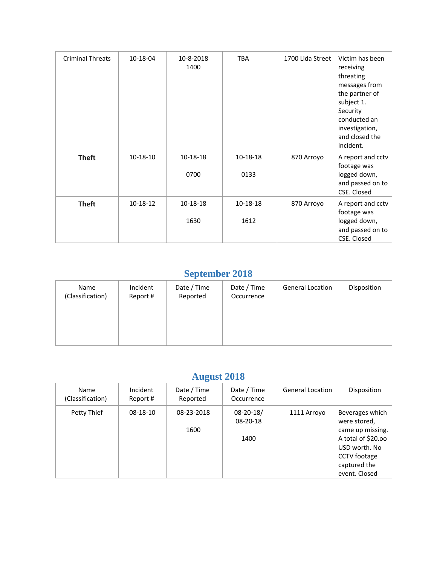| <b>Criminal Threats</b> | 10-18-04 | 10-8-2018<br>1400 | <b>TBA</b>       | 1700 Lida Street | Victim has been<br>receiving<br>threating<br>messages from<br>the partner of<br>subject 1.<br>Security<br>conducted an<br>investigation,<br>and closed the<br>incident. |
|-------------------------|----------|-------------------|------------------|------------------|-------------------------------------------------------------------------------------------------------------------------------------------------------------------------|
| <b>Theft</b>            | 10-18-10 | 10-18-18<br>0700  | 10-18-18<br>0133 | 870 Arroyo       | A report and cctv<br>footage was<br>logged down,                                                                                                                        |
|                         |          |                   |                  |                  | and passed on to<br>CSE. Closed                                                                                                                                         |
| <b>Theft</b>            | 10-18-12 | 10-18-18          | 10-18-18         | 870 Arroyo       | A report and cctv<br>footage was                                                                                                                                        |
|                         |          | 1630              | 1612             |                  | logged down,<br>and passed on to<br>CSE. Closed                                                                                                                         |

## **September 2018**

| Name<br>(Classification) | Incident<br>Report # | Date / Time<br>Reported | Date / Time<br>Occurrence | <b>General Location</b> | Disposition |
|--------------------------|----------------------|-------------------------|---------------------------|-------------------------|-------------|
|                          |                      |                         |                           |                         |             |
|                          |                      |                         |                           |                         |             |

# **August 2018**

| <b>Name</b><br>(Classification) | Incident<br>Report # | Date / Time<br>Reported | Date / Time<br>Occurrence           | <b>General Location</b> | Disposition                                                                                                                                 |
|---------------------------------|----------------------|-------------------------|-------------------------------------|-------------------------|---------------------------------------------------------------------------------------------------------------------------------------------|
| Petty Thief                     | $08-18-10$           | 08-23-2018<br>1600      | $08 - 20 - 18/$<br>08-20-18<br>1400 | 1111 Arroyo             | Beverages which<br>were stored,<br>came up missing.<br>A total of \$20.00<br>USD worth. No<br>CCTV footage<br>captured the<br>event. Closed |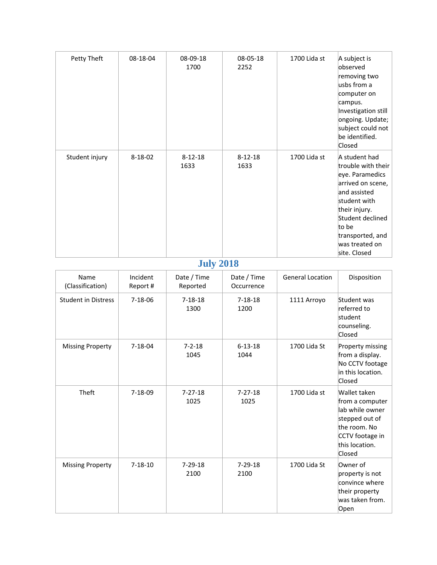| Petty Theft    | 08-18-04      | 08-09-18<br>1700      | 08-05-18<br>2252      | 1700 Lida st | A subject is<br>observed<br>removing two<br>lusbs from a<br>computer on<br>campus.<br>Investigation still<br>ongoing. Update;<br>subject could not<br>be identified.<br>Closed                                  |
|----------------|---------------|-----------------------|-----------------------|--------------|-----------------------------------------------------------------------------------------------------------------------------------------------------------------------------------------------------------------|
| Student injury | $8 - 18 - 02$ | $8 - 12 - 18$<br>1633 | $8 - 12 - 18$<br>1633 | 1700 Lida st | A student had<br>trouble with their<br>eye. Paramedics<br>arrived on scene,<br>and assisted<br>student with<br>their injury.<br>Student declined<br>to be<br>transported, and<br>was treated on<br>site. Closed |

## **July 2018**

| Name<br>(Classification)   | Incident<br>Report # | Date / Time<br>Reported | Date / Time<br>Occurrence | General Location | Disposition                                                                                                                         |  |  |
|----------------------------|----------------------|-------------------------|---------------------------|------------------|-------------------------------------------------------------------------------------------------------------------------------------|--|--|
| <b>Student in Distress</b> | $7 - 18 - 06$        | $7 - 18 - 18$<br>1300   | $7 - 18 - 18$<br>1200     | 1111 Arroyo      | Student was<br>referred to<br>student<br>counseling.<br>Closed                                                                      |  |  |
| <b>Missing Property</b>    | $7 - 18 - 04$        | $7 - 2 - 18$<br>1045    | $6 - 13 - 18$<br>1044     | 1700 Lida St     | Property missing<br>from a display.<br>No CCTV footage<br>in this location.<br>Closed                                               |  |  |
| Theft                      | $7 - 18 - 09$        | $7 - 27 - 18$<br>1025   | $7 - 27 - 18$<br>1025     | 1700 Lida st     | Wallet taken<br>from a computer<br>lab while owner<br>stepped out of<br>the room. No<br>CCTV footage in<br>this location.<br>Closed |  |  |
| <b>Missing Property</b>    | $7 - 18 - 10$        | $7 - 29 - 18$<br>2100   | $7 - 29 - 18$<br>2100     | 1700 Lida St     | Owner of<br>property is not<br>convince where<br>their property<br>was taken from.<br>Open                                          |  |  |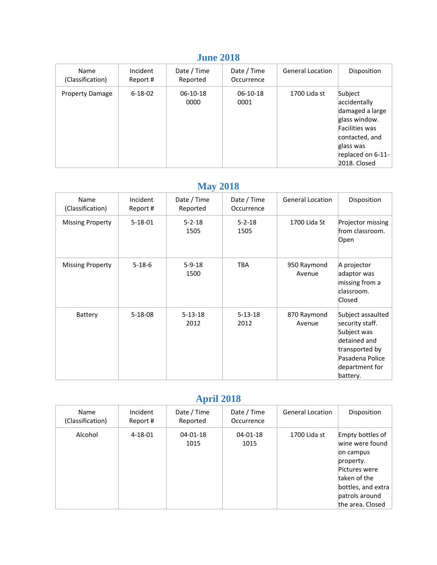#### **June 2018**

| <b>Name</b><br>(Classification) | Incident<br>Report # | Date / Time<br>Reported | Date / Time<br>Occurrence | <b>General Location</b> | Disposition                                                                                                                                       |
|---------------------------------|----------------------|-------------------------|---------------------------|-------------------------|---------------------------------------------------------------------------------------------------------------------------------------------------|
| <b>Property Damage</b>          | $6 - 18 - 02$        | $06-10-18$<br>0000      | 06-10-18<br>0001          | 1700 Lida st            | Subject<br>accidentally<br>damaged a large<br>glass window.<br>Facilities was<br>contacted, and<br>glass was<br>replaced on 6-11-<br>2018. Closed |

# **May 2018**

|  | Name<br>(Classification) | Incident<br>Report # | Date / Time<br>Reported | Date / Time<br>Occurrence | General Location      | Disposition                                                                                                                            |
|--|--------------------------|----------------------|-------------------------|---------------------------|-----------------------|----------------------------------------------------------------------------------------------------------------------------------------|
|  | <b>Missing Property</b>  | $5 - 18 - 01$        | $5 - 2 - 18$<br>1505    | $5 - 2 - 18$<br>1505      | 1700 Lida St          | Projector missing<br>from classroom.<br>Open                                                                                           |
|  | <b>Missing Property</b>  | $5 - 18 - 6$         | $5 - 9 - 18$<br>1500    | <b>TBA</b>                | 950 Raymond<br>Avenue | A projector<br>adaptor was<br>missing from a<br>classroom.<br>Closed                                                                   |
|  | Battery                  | $5 - 18 - 08$        | $5 - 13 - 18$<br>2012   | $5 - 13 - 18$<br>2012     | 870 Raymond<br>Avenue | Subject assaulted<br>security staff.<br>Subject was<br>detained and<br>transported by<br>Pasadena Police<br>department for<br>battery. |

## **April 2018**

| Name<br>(Classification) | Incident<br>Report # | Date / Time<br>Reported | Date / Time<br>Occurrence | <b>General Location</b> | Disposition                                                                                                                                                |
|--------------------------|----------------------|-------------------------|---------------------------|-------------------------|------------------------------------------------------------------------------------------------------------------------------------------------------------|
| Alcohol                  | $4 - 18 - 01$        | $04 - 01 - 18$<br>1015  | $04 - 01 - 18$<br>1015    | 1700 Lida st            | Empty bottles of<br>wine were found<br>on campus<br>property.<br>Pictures were<br>taken of the<br>bottles, and extra<br>patrols around<br>the area. Closed |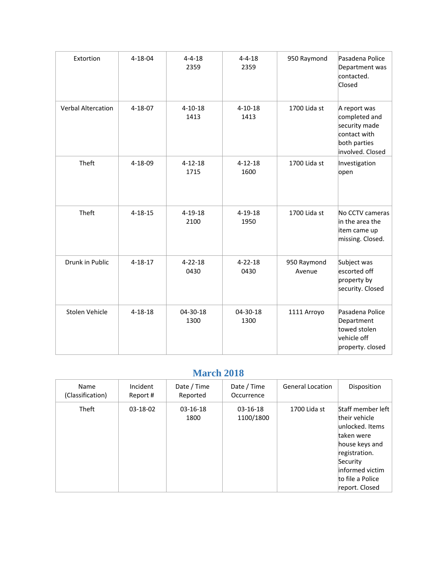| Extortion                 | $4 - 18 - 04$ | $4 - 4 - 18$<br>2359  | $4 - 4 - 18$<br>2359  | 950 Raymond           | Pasadena Police<br>Department was<br>contacted.<br>Closed                                          |
|---------------------------|---------------|-----------------------|-----------------------|-----------------------|----------------------------------------------------------------------------------------------------|
| <b>Verbal Altercation</b> | 4-18-07       | $4 - 10 - 18$<br>1413 | $4 - 10 - 18$<br>1413 | 1700 Lida st          | A report was<br>completed and<br>security made<br>contact with<br>both parties<br>involved. Closed |
| Theft                     | 4-18-09       | $4 - 12 - 18$<br>1715 | $4 - 12 - 18$<br>1600 | 1700 Lida st          | Investigation<br>open                                                                              |
| Theft                     | $4 - 18 - 15$ | $4 - 19 - 18$<br>2100 | $4 - 19 - 18$<br>1950 | 1700 Lida st          | No CCTV cameras<br>in the area the<br>item came up<br>missing. Closed.                             |
| Drunk in Public           | $4 - 18 - 17$ | $4 - 22 - 18$<br>0430 | $4 - 22 - 18$<br>0430 | 950 Raymond<br>Avenue | Subject was<br>escorted off<br>property by<br>security. Closed                                     |
| Stolen Vehicle            | $4 - 18 - 18$ | 04-30-18<br>1300      | 04-30-18<br>1300      | 1111 Arroyo           | Pasadena Police<br>Department<br>towed stolen<br>vehicle off<br>property. closed                   |

### **March 2018**

| Name<br>(Classification) | Incident<br>Report # | Date / Time<br>Reported | Date / Time<br>Occurrence | <b>General Location</b> | Disposition                                                                                                                                                                 |
|--------------------------|----------------------|-------------------------|---------------------------|-------------------------|-----------------------------------------------------------------------------------------------------------------------------------------------------------------------------|
| <b>Theft</b>             | $03-18-02$           | $03-16-18$<br>1800      | $03-16-18$<br>1100/1800   | 1700 Lida st            | Staff member left<br>their vehicle<br>unlocked. Items<br>taken were<br>house keys and<br>registration.<br>Security<br>informed victim<br>to file a Police<br>report. Closed |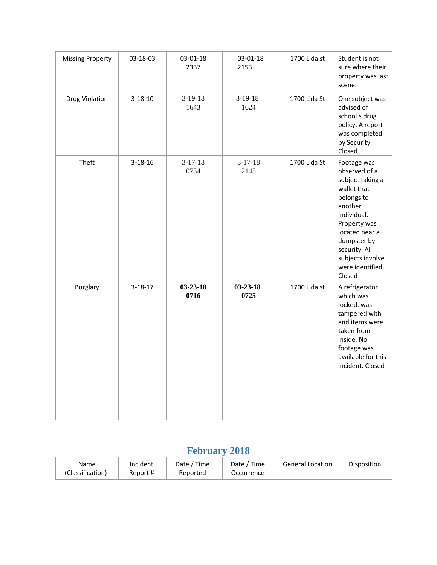| <b>Missing Property</b> | 03-18-03      | 03-01-18<br>2337       | 03-01-18<br>2153       | 1700 Lida st | Student is not<br>sure where their<br>property was last<br>scene.                                                                                                                                                           |
|-------------------------|---------------|------------------------|------------------------|--------------|-----------------------------------------------------------------------------------------------------------------------------------------------------------------------------------------------------------------------------|
| <b>Drug Violation</b>   | $3 - 18 - 10$ | $3-19-18$<br>1643      | $3-19-18$<br>1624      | 1700 Lida St | One subject was<br>advised of<br>school's drug<br>policy. A report<br>was completed<br>by Security.<br>Closed                                                                                                               |
| Theft                   | $3 - 18 - 16$ | $3-17-18$<br>0734      | $3-17-18$<br>2145      | 1700 Lida St | Footage was<br>observed of a<br>subject taking a<br>wallet that<br>belongs to<br>another<br>individual.<br>Property was<br>located near a<br>dumpster by<br>security. All<br>subjects involve<br>were identified.<br>Closed |
| <b>Burglary</b>         | $3 - 18 - 17$ | $03 - 23 - 18$<br>0716 | $03 - 23 - 18$<br>0725 | 1700 Lida st | A refrigerator<br>which was<br>locked, was<br>tampered with<br>and items were<br>taken from<br>inside. No<br>footage was<br>available for this<br>incident. Closed                                                          |
|                         |               |                        |                        |              |                                                                                                                                                                                                                             |

# **February 2018**

| Name             | Incident | ' Time<br>Date / | Date / Time | <b>General Location</b> | Disposition |
|------------------|----------|------------------|-------------|-------------------------|-------------|
| (Classification) | Report # | Reported         | Occurrence  |                         |             |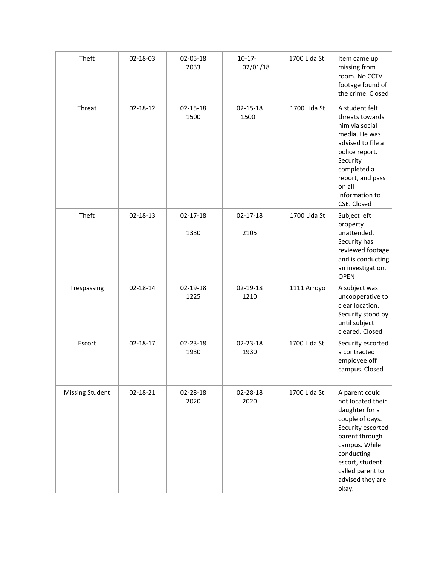| Theft                  | 02-18-03       | 02-05-18<br>2033 | $10-17-$<br>02/01/18   | 1700 Lida St. | Item came up<br>missing from<br>room. No CCTV<br>footage found of<br>the crime. Closed                                                                                                                             |
|------------------------|----------------|------------------|------------------------|---------------|--------------------------------------------------------------------------------------------------------------------------------------------------------------------------------------------------------------------|
| Threat                 | 02-18-12       | 02-15-18<br>1500 | 02-15-18<br>1500       | 1700 Lida St  | A student felt<br>threats towards<br>him via social<br>media. He was<br>advised to file a<br>police report.<br>Security<br>completed a<br>report, and pass<br>on all<br>information to<br>CSE. Closed              |
| Theft                  | 02-18-13       | 02-17-18<br>1330 | $02 - 17 - 18$<br>2105 | 1700 Lida St  | Subject left<br>property<br>unattended.<br>Security has<br>reviewed footage<br>and is conducting<br>an investigation.<br>OPEN                                                                                      |
| Trespassing            | 02-18-14       | 02-19-18<br>1225 | 02-19-18<br>1210       | 1111 Arroyo   | A subject was<br>uncooperative to<br>clear location.<br>Security stood by<br>until subject<br>cleared. Closed                                                                                                      |
| Escort                 | $02 - 18 - 17$ | 02-23-18<br>1930 | 02-23-18<br>1930       | 1700 Lida St. | Security escorted<br>a contracted<br>employee off<br>campus. Closed                                                                                                                                                |
| <b>Missing Student</b> | 02-18-21       | 02-28-18<br>2020 | 02-28-18<br>2020       | 1700 Lida St. | A parent could<br>not located their<br>daughter for a<br>couple of days.<br>Security escorted<br>parent through<br>campus. While<br>conducting<br>escort, student<br>called parent to<br>advised they are<br>okay. |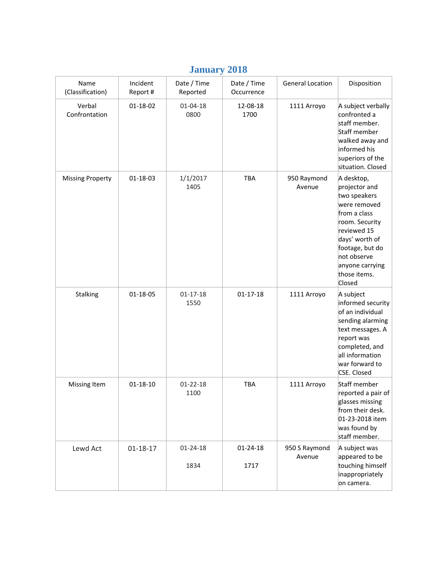|                          |                      |                         | $\overline{\phantom{a}}$  |                         |                                                                                                                                                                                                               |
|--------------------------|----------------------|-------------------------|---------------------------|-------------------------|---------------------------------------------------------------------------------------------------------------------------------------------------------------------------------------------------------------|
| Name<br>(Classification) | Incident<br>Report # | Date / Time<br>Reported | Date / Time<br>Occurrence | <b>General Location</b> | Disposition                                                                                                                                                                                                   |
| Verbal<br>Confrontation  | 01-18-02             | $01 - 04 - 18$<br>0800  | 12-08-18<br>1700          | 1111 Arroyo             | A subject verbally<br>confronted a<br>staff member.<br>Staff member<br>walked away and<br>informed his<br>superiors of the<br>situation. Closed                                                               |
| <b>Missing Property</b>  | 01-18-03             | 1/1/2017<br>1405        | <b>TBA</b>                | 950 Raymond<br>Avenue   | A desktop,<br>projector and<br>two speakers<br>were removed<br>from a class<br>room. Security<br>reviewed 15<br>days' worth of<br>footage, but do<br>not observe<br>anyone carrying<br>those items.<br>Closed |
| Stalking                 | 01-18-05             | $01 - 17 - 18$<br>1550  | $01 - 17 - 18$            | 1111 Arroyo             | A subject<br>informed security<br>of an individual<br>sending alarming<br>text messages. A<br>report was<br>completed, and<br>all information<br>war forward to<br>CSE. Closed                                |
| Missing Item             | $01 - 18 - 10$       | $01 - 22 - 18$<br>1100  | TBA                       | 1111 Arroyo             | Staff member<br>reported a pair of<br>glasses missing<br>from their desk.<br>01-23-2018 item<br>was found by<br>staff member.                                                                                 |
| Lewd Act                 | $01 - 18 - 17$       | 01-24-18<br>1834        | 01-24-18<br>1717          | 950 S Raymond<br>Avenue | A subject was<br>appeared to be<br>touching himself<br>inappropriately<br>on camera.                                                                                                                          |

#### **January 2018**